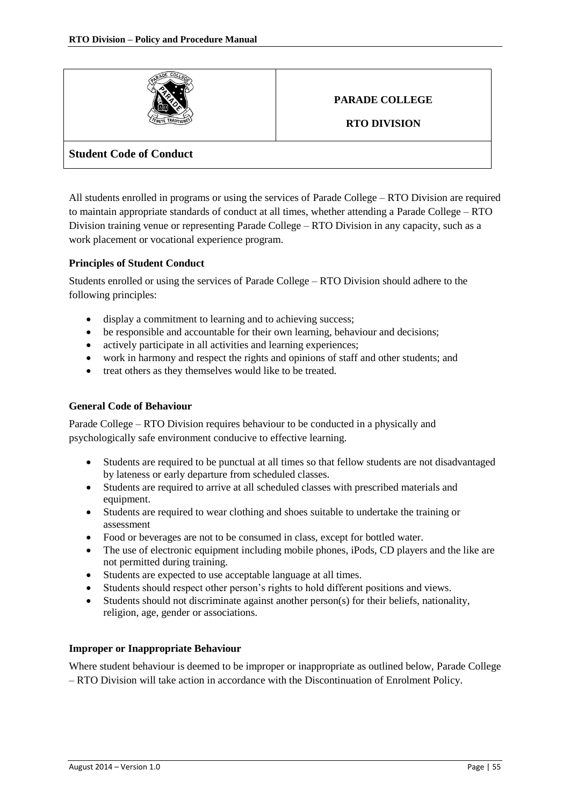

# **PARADE COLLEGE**

**RTO DIVISION**

## **Student Code of Conduct**

All students enrolled in programs or using the services of Parade College – RTO Division are required to maintain appropriate standards of conduct at all times, whether attending a Parade College – RTO Division training venue or representing Parade College – RTO Division in any capacity, such as a work placement or vocational experience program.

## **Principles of Student Conduct**

Students enrolled or using the services of Parade College – RTO Division should adhere to the following principles:

- display a commitment to learning and to achieving success;
- be responsible and accountable for their own learning, behaviour and decisions;
- actively participate in all activities and learning experiences;
- work in harmony and respect the rights and opinions of staff and other students; and
- treat others as they themselves would like to be treated.

### **General Code of Behaviour**

Parade College – RTO Division requires behaviour to be conducted in a physically and psychologically safe environment conducive to effective learning.

- Students are required to be punctual at all times so that fellow students are not disadvantaged by lateness or early departure from scheduled classes.
- Students are required to arrive at all scheduled classes with prescribed materials and equipment.
- Students are required to wear clothing and shoes suitable to undertake the training or assessment
- Food or beverages are not to be consumed in class, except for bottled water.
- The use of electronic equipment including mobile phones, iPods, CD players and the like are not permitted during training.
- Students are expected to use acceptable language at all times.
- Students should respect other person's rights to hold different positions and views.
- Students should not discriminate against another person(s) for their beliefs, nationality, religion, age, gender or associations.

#### **Improper or Inappropriate Behaviour**

Where student behaviour is deemed to be improper or inappropriate as outlined below, Parade College – RTO Division will take action in accordance with the Discontinuation of Enrolment Policy.